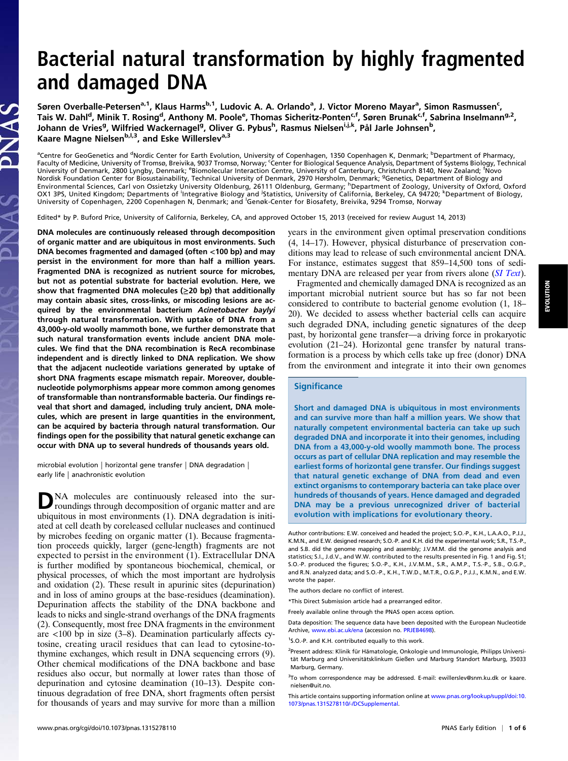# Bacterial natural transformation by highly fragmented and damaged DNA

Søren Overballe-Petersen<sup>a, 1</sup>, Klaus Harms<sup>b, 1</sup>, Ludovic A. A. Orlando<sup>a</sup>, J. Victor Moreno Mayar<sup>a</sup>, Simon Rasmussen<sup>c</sup>, Tais W. Dahl<sup>d</sup>, Minik T. Rosing<sup>d</sup>, Anthony M. Poole<sup>e</sup>, Thomas Sicheritz-Ponten<sup>c,f</sup>, Søren Brunak<sup>c,f</sup>, Sabrina Inselmann<sup>g,2</sup>, Johann de Vries<sup>g</sup>, Wilfried Wackernagel<sup>g</sup>, Oliver G. Pybus<sup>h</sup>, Rasmus Nielsen<sup>i,j,k</sup>, Pål Jarle Johnsen<sup>b</sup>, Kaare Magne Nielsen<sup>b, 1,3</sup>, and Eske Willerslev<sup>a,3</sup>

<sup>a</sup>Centre for GeoGenetics and <sup>d</sup>Nordic Center for Earth Evolution, University of Copenhagen, 1350 Copenhagen K, Denmark; <sup>b</sup>Department of Pharmacy, Faculty of Medicine, University of Tromsø, Breivika, 9037 Tromsø, Norway; <sup>c</sup>Center for Biological Sequence Analysis, Department of Systems Biology, Technical University of Denmark, 2800 Lyngby, Denmark; <sup>e</sup>Biomolecular Interaction Centre, University of Canterbury, Christchurch 8140, New Zealand; <sup>f</sup>Novo Nordisk Foundation Center for Biosustainability, Technical University of Denmark, 2970 Hørsholm, Denmark; <sup>9</sup>Genetics, Department of Biology and<br>Environmental Sciences, Carl von Ossietzky University Oldenburg, 26111 Oldenb OX1 3PS, United Kingdom; Departments of <sup>i</sup>Integrative Biology and <sup>i</sup>Statistics, University of California, Berkeley, CA 94720; <sup>k</sup>Department of Biology,<br>University of Copenhagen, 2200 Copenhagen N, Denmark; and <sup>I</sup>Genøk-C

Edited\* by P. Buford Price, University of California, Berkeley, CA, and approved October 15, 2013 (received for review August 14, 2013)

DNA molecules are continuously released through decomposition of organic matter and are ubiquitous in most environments. Such DNA becomes fragmented and damaged (often <100 bp) and may persist in the environment for more than half a million years. Fragmented DNA is recognized as nutrient source for microbes, but not as potential substrate for bacterial evolution. Here, we show that fragmented DNA molecules (≥20 bp) that additionally may contain abasic sites, cross-links, or miscoding lesions are acquired by the environmental bacterium Acinetobacter baylyi through natural transformation. With uptake of DNA from a 43,000-y-old woolly mammoth bone, we further demonstrate that such natural transformation events include ancient DNA molecules. We find that the DNA recombination is RecA recombinase independent and is directly linked to DNA replication. We show that the adjacent nucleotide variations generated by uptake of short DNA fragments escape mismatch repair. Moreover, doublenucleotide polymorphisms appear more common among genomes of transformable than nontransformable bacteria. Our findings reveal that short and damaged, including truly ancient, DNA molecules, which are present in large quantities in the environment, can be acquired by bacteria through natural transformation. Our findings open for the possibility that natural genetic exchange can occur with DNA up to several hundreds of thousands years old.

microbial evolution | horizontal gene transfer | DNA degradation | early life | anachronistic evolution

DNA molecules are continuously released into the sur-<br>roundings through decomposition of organic matter and are ubiquitous in most environments (1). DNA degradation is initiated at cell death by coreleased cellular nucleases and continued by microbes feeding on organic matter (1). Because fragmentation proceeds quickly, larger (gene-length) fragments are not expected to persist in the environment (1). Extracellular DNA is further modified by spontaneous biochemical, chemical, or physical processes, of which the most important are hydrolysis and oxidation (2). These result in apurinic sites (depurination) and in loss of amino groups at the base-residues (deamination). Depurination affects the stability of the DNA backbone and leads to nicks and single-strand overhangs of the DNA fragments (2). Consequently, most free DNA fragments in the environment are  $\langle 100 \rangle$  bp in size (3–8). Deamination particularly affects cytosine, creating uracil residues that can lead to cytosine-tothymine exchanges, which result in DNA sequencing errors (9). Other chemical modifications of the DNA backbone and base residues also occur, but normally at lower rates than those of depurination and cytosine deamination (10–13). Despite continuous degradation of free DNA, short fragments often persist for thousands of years and may survive for more than a million years in the environment given optimal preservation conditions (4, 14–17). However, physical disturbance of preservation conditions may lead to release of such environmental ancient DNA. For instance, estimates suggest that 859–14,500 tons of sedi-mentary DNA are released per year from rivers alone ([SI Text](http://www.pnas.org/lookup/suppl/doi:10.1073/pnas.1315278110/-/DCSupplemental/pnas.201315278SI.pdf?targetid=nameddest=STXT)).

Fragmented and chemically damaged DNA is recognized as an important microbial nutrient source but has so far not been considered to contribute to bacterial genome evolution (1, 18– 20). We decided to assess whether bacterial cells can acquire such degraded DNA, including genetic signatures of the deep past, by horizontal gene transfer—a driving force in prokaryotic evolution (21–24). Horizontal gene transfer by natural transformation is a process by which cells take up free (donor) DNA from the environment and integrate it into their own genomes

### **Significance**

Short and damaged DNA is ubiquitous in most environments and can survive more than half a million years. We show that naturally competent environmental bacteria can take up such degraded DNA and incorporate it into their genomes, including DNA from a 43,000-y-old woolly mammoth bone. The process occurs as part of cellular DNA replication and may resemble the earliest forms of horizontal gene transfer. Our findings suggest that natural genetic exchange of DNA from dead and even extinct organisms to contemporary bacteria can take place over hundreds of thousands of years. Hence damaged and degraded DNA may be a previous unrecognized driver of bacterial evolution with implications for evolutionary theory.

Author contributions: E.W. conceived and headed the project; S.O.-P., K.H., L.A.A.O., P.J.J., K.M.N., and E.W. designed research; S.O.-P. and K.H. did the experimental work; S.R., T.S.-P., and S.B. did the genome mapping and assembly; J.V.M.M. did the genome analysis and statistics; S.I., J.d.V., and W.W. contributed to the results presented in Fig. 1 and Fig. S1; S.O.-P. produced the figures; S.O.-P., K.H., J.V.M.M., S.R., A.M.P., T.S.-P., S.B., O.G.P., and R.N. analyzed data; and S.O.-P., K.H., T.W.D., M.T.R., O.G.P., P.J.J., K.M.N., and E.W. wrote the paper.

\*This Direct Submission article had a prearranged editor.

Freely available online through the PNAS open access option.

Data deposition: The sequence data have been deposited with the European Nucleotide Archive, [www.ebi.ac.uk/ena](http://www.ebi.ac.uk/ena) (accession no. [PRJEB4698](http://www.ebi.ac.uk/ena/data/view/PRJEB4698)).

<sup>2</sup>Present address: Klinik für Hämatologie, Onkologie und Immunologie, Philipps Universität Marburg and Universitätsklinkum Gießen und Marburg Standort Marburg, 35033 Marburg, Germany.

<sup>3</sup>To whom correspondence may be addressed. E-mail: [ewillerslev@snm.ku.dk](mailto:ewillerslev@snm.ku.dk) or [kaare.](mailto:kaare.nielsen@uit.no) [nielsen@uit.no.](mailto:kaare.nielsen@uit.no)

The authors declare no conflict of interest.

<sup>&</sup>lt;sup>1</sup>S.O.-P. and K.H. contributed equally to this work.

This article contains supporting information online at [www.pnas.org/lookup/suppl/doi:10.](http://www.pnas.org/lookup/suppl/doi:10.1073/pnas.1315278110/-/DCSupplemental) [1073/pnas.1315278110/-/DCSupplemental](http://www.pnas.org/lookup/suppl/doi:10.1073/pnas.1315278110/-/DCSupplemental).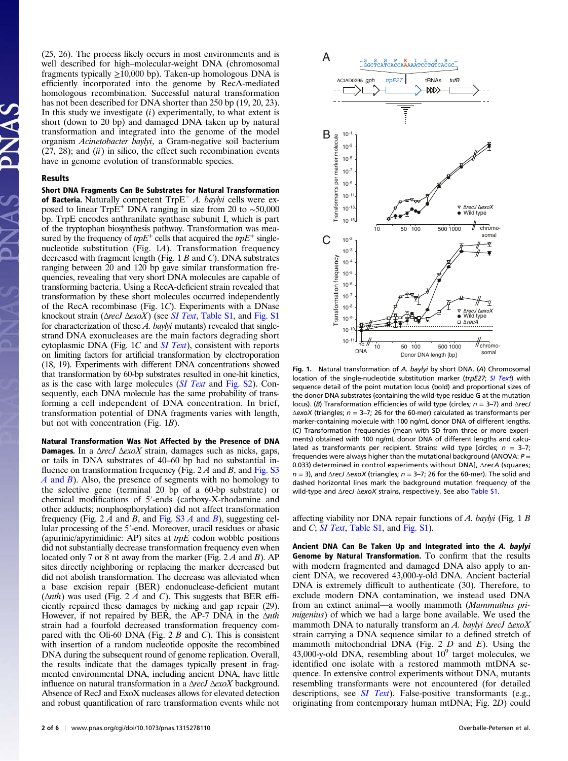(25, 26). The process likely occurs in most environments and is well described for high–molecular-weight DNA (chromosomal fragments typically  $\geq$ 10,000 bp). Taken-up homologous DNA is efficiently incorporated into the genome by RecA-mediated homologous recombination. Successful natural transformation has not been described for DNA shorter than 250 bp (19, 20, 23). In this study we investigate  $(i)$  experimentally, to what extent is short (down to 20 bp) and damaged DNA taken up by natural transformation and integrated into the genome of the model organism Acinetobacter baylyi, a Gram-negative soil bacterium  $(27, 28)$ ; and  $(ii)$  in silico, the effect such recombination events have in genome evolution of transformable species.

#### Results

Short DNA Fragments Can Be Substrates for Natural Transformation of Bacteria. Naturally competent TrpE<sup>−</sup> A. baylyi cells were exposed to linear TrpE<sup>+</sup> DNA ranging in size from 20 to ∼50,000 bp. TrpE encodes anthranilate synthase subunit I, which is part of the tryptophan biosynthesis pathway. Transformation was measured by the frequency of  $trpE^+$  cells that acquired the  $trpE^+$  singlenucleotide substitution (Fig. 1A). Transformation frequency decreased with fragment length (Fig. 1 B and C). DNA substrates ranging between 20 and 120 bp gave similar transformation frequencies, revealing that very short DNA molecules are capable of transforming bacteria. Using a RecA-deficient strain revealed that transformation by these short molecules occurred independently of the RecA recombinase (Fig. 1C). Experiments with a DNase knockout strain ( $\triangle$ recJ  $\triangle$ exoX) (see [SI Text](http://www.pnas.org/lookup/suppl/doi:10.1073/pnas.1315278110/-/DCSupplemental/pnas.201315278SI.pdf?targetid=nameddest=STXT), [Table S1](http://www.pnas.org/lookup/suppl/doi:10.1073/pnas.1315278110/-/DCSupplemental/st01.docx), and [Fig. S1](http://www.pnas.org/lookup/suppl/doi:10.1073/pnas.1315278110/-/DCSupplemental/pnas.201315278SI.pdf?targetid=nameddest=SF1) for characterization of these  $A$ . *baylyi* mutants) revealed that singlestrand DNA exonucleases are the main factors degrading short cytoplasmic DNA (Fig.  $1C$  and  $SI$  Text), consistent with reports on limiting factors for artificial transformation by electroporation (18, 19). Experiments with different DNA concentrations showed that transformation by 60-bp substrates resulted in one-hit kinetics, as is the case with large molecules ([SI Text](http://www.pnas.org/lookup/suppl/doi:10.1073/pnas.1315278110/-/DCSupplemental/pnas.201315278SI.pdf?targetid=nameddest=STXT) and [Fig. S2](http://www.pnas.org/lookup/suppl/doi:10.1073/pnas.1315278110/-/DCSupplemental/pnas.201315278SI.pdf?targetid=nameddest=SF2)). Consequently, each DNA molecule has the same probability of transforming a cell independent of DNA concentration. In brief, transformation potential of DNA fragments varies with length, but not with concentration (Fig. 1B).

Natural Transformation Was Not Affected by the Presence of DNA **Damages.** In a  $\Delta$ recJ  $\Delta$ exoX strain, damages such as nicks, gaps, or tails in DNA substrates of 40–60 bp had no substantial influence on transformation frequency (Fig.  $2A$  and B, and [Fig. S3](http://www.pnas.org/lookup/suppl/doi:10.1073/pnas.1315278110/-/DCSupplemental/pnas.201315278SI.pdf?targetid=nameddest=SF3)  $A$  [and](http://www.pnas.org/lookup/suppl/doi:10.1073/pnas.1315278110/-/DCSupplemental/pnas.201315278SI.pdf?targetid=nameddest=SF3)  $B$ ). Also, the presence of segments with no homology to the selective gene (terminal 20 bp of a 60-bp substrate) or chemical modifications of 5′-ends (carboxy-X-rhodamine and other adducts; nonphosphorylation) did not affect transformation frequency (Fig. 2 A and B, and [Fig. S3](http://www.pnas.org/lookup/suppl/doi:10.1073/pnas.1315278110/-/DCSupplemental/pnas.201315278SI.pdf?targetid=nameddest=SF3) A and B), suggesting cellular processing of the 5′-end. Moreover, uracil residues or abasic (apurinic/apyrimidinic: AP) sites at  $trpE$  codon wobble positions did not substantially decrease transformation frequency even when located only 7 or 8 nt away from the marker (Fig. 2 A and B). AP sites directly neighboring or replacing the marker decreased but did not abolish transformation. The decrease was alleviated when a base excision repair (BER) endonuclease-deficient mutant  $(\Delta nth)$  was used (Fig. 2 A and C). This suggests that BER efficiently repaired these damages by nicking and gap repair (29). However, if not repaired by BER, the AP-7 DNA in the <sup>Δ</sup>nth strain had a fourfold decreased transformation frequency compared with the Oli-60 DNA (Fig. 2  $B$  and  $C$ ). This is consistent with insertion of a random nucleotide opposite the recombined DNA during the subsequent round of genome replication. Overall, the results indicate that the damages typically present in fragmented environmental DNA, including ancient DNA, have little influence on natural transformation in a  $\Delta$ recJ  $\Delta$ exoX background. Absence of RecJ and ExoX nucleases allows for elevated detection and robust quantification of rare transformation events while not



Fig. 1. Natural transformation of A. baylyi by short DNA. (A) Chromosomal location of the single-nucleotide substitution marker (trpE27; [SI Text](http://www.pnas.org/lookup/suppl/doi:10.1073/pnas.1315278110/-/DCSupplemental/pnas.201315278SI.pdf?targetid=nameddest=STXT)) with sequence detail of the point mutation locus (bold) and proportional sizes of the donor DNA substrates (containing the wild-type residue G at the mutation locus). (B) Transformation efficiencies of wild type (circles;  $n = 3-7$ ) and  $\triangle$ recJ  $\triangle$ exoX (triangles; n = 3–7; 26 for the 60-mer) calculated as transformants per marker-containing molecule with 100 ng/mL donor DNA of different lengths. (C) Transformation frequencies (mean with SD from three or more experiments) obtained with 100 ng/mL donor DNA of different lengths and calculated as transformants per recipient. Strains: wild type [circles;  $n = 3-7$ ; frequencies were always higher than the mutational background (ANOVA:  $P =$ 0.033) determined in control experiments without DNA], ΔrecA (squares;  $n = 3$ ), and  $\triangle$ recJ  $\triangle$ exoX (triangles;  $n = 3-7$ ; 26 for the 60-mer). The solid and dashed horizontal lines mark the background mutation frequency of the wild-type and ΔrecJ ΔexoX strains, respectively. See also [Table S1.](http://www.pnas.org/lookup/suppl/doi:10.1073/pnas.1315278110/-/DCSupplemental/st01.docx)

affecting viability nor DNA repair functions of A. baylyi (Fig. 1 B and C; [SI Text](http://www.pnas.org/lookup/suppl/doi:10.1073/pnas.1315278110/-/DCSupplemental/pnas.201315278SI.pdf?targetid=nameddest=STXT), [Table S1,](http://www.pnas.org/lookup/suppl/doi:10.1073/pnas.1315278110/-/DCSupplemental/st01.docx) and [Fig. S1](http://www.pnas.org/lookup/suppl/doi:10.1073/pnas.1315278110/-/DCSupplemental/pnas.201315278SI.pdf?targetid=nameddest=SF1)).

Ancient DNA Can Be Taken Up and Integrated into the A. baylyi Genome by Natural Transformation. To confirm that the results with modern fragmented and damaged DNA also apply to ancient DNA, we recovered 43,000-y-old DNA. Ancient bacterial DNA is extremely difficult to authenticate (30). Therefore, to exclude modern DNA contamination, we instead used DNA from an extinct animal—a woolly mammoth (Mammuthus primigenius) of which we had a large bone available. We used the mammoth DNA to naturally transform an A. baylyi  $\Delta$ recJ  $\Delta$ exoX strain carrying a DNA sequence similar to a defined stretch of mammoth mitochondrial DNA (Fig.  $2 D$  and E). Using the 43,000-y-old DNA, resembling about  $10<sup>9</sup>$  target molecules, we identified one isolate with a restored mammoth mtDNA sequence. In extensive control experiments without DNA, mutants resembling transformants were not encountered (for detailed descriptions, see *[SI Text](http://www.pnas.org/lookup/suppl/doi:10.1073/pnas.1315278110/-/DCSupplemental/pnas.201315278SI.pdf?targetid=nameddest=STXT)*). False-positive transformants (e.g., originating from contemporary human mtDNA; Fig. 2D) could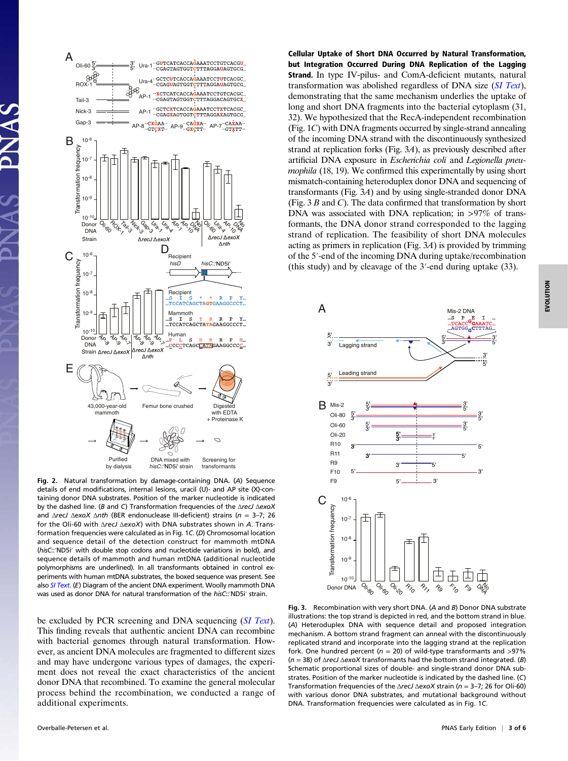

Fig. 2. Natural transformation by damage-containing DNA. (A) Sequence details of end modifications, internal lesions, uracil (U)- and AP site (X)-containing donor DNA substrates. Position of the marker nucleotide is indicated by the dashed line. (B and C) Transformation frequencies of the ΔrecJ ΔexoX and  $\triangle$ recJ  $\triangle$ exoX  $\triangle$ nth (BER endonuclease III-deficient) strains (n = 3-7; 26 for the Oli-60 with ΔrecJ ΔexoX) with DNA substrates shown in A. Transformation frequencies were calculated as in Fig. 1C. (D) Chromosomal location and sequence detail of the detection construct for mammoth mtDNA (hisC::′ND5i′ with double stop codons and nucleotide variations in bold), and sequence details of mammoth and human mtDNA (additional nucleotide polymorphisms are underlined). In all transformants obtained in control experiments with human mtDNA substrates, the boxed sequence was present. See also [SI Text](http://www.pnas.org/lookup/suppl/doi:10.1073/pnas.1315278110/-/DCSupplemental/pnas.201315278SI.pdf?targetid=nameddest=STXT). (E) Diagram of the ancient DNA experiment. Woolly mammoth DNA was used as donor DNA for natural transformation of the hisC::'ND5i' strain.

be excluded by PCR screening and DNA sequencing ([SI Text](http://www.pnas.org/lookup/suppl/doi:10.1073/pnas.1315278110/-/DCSupplemental/pnas.201315278SI.pdf?targetid=nameddest=STXT)). This finding reveals that authentic ancient DNA can recombine with bacterial genomes through natural transformation. However, as ancient DNA molecules are fragmented to different sizes and may have undergone various types of damages, the experiment does not reveal the exact characteristics of the ancient donor DNA that recombined. To examine the general molecular process behind the recombination, we conducted a range of additional experiments.

Cellular Uptake of Short DNA Occurred by Natural Transformation, but Integration Occurred During DNA Replication of the Lagging Strand. In type IV-pilus- and ComA-deficient mutants, natural transformation was abolished regardless of DNA size ([SI Text](http://www.pnas.org/lookup/suppl/doi:10.1073/pnas.1315278110/-/DCSupplemental/pnas.201315278SI.pdf?targetid=nameddest=STXT)), demonstrating that the same mechanism underlies the uptake of long and short DNA fragments into the bacterial cytoplasm (31, 32). We hypothesized that the RecA-independent recombination (Fig. 1C) with DNA fragments occurred by single-strand annealing of the incoming DNA strand with the discontinuously synthesized strand at replication forks (Fig. 3A), as previously described after artificial DNA exposure in Escherichia coli and Legionella pneumophila  $(18, 19)$ . We confirmed this experimentally by using short mismatch-containing heteroduplex donor DNA and sequencing of transformants (Fig. 3A) and by using single-stranded donor DNA (Fig. 3 B and C). The data confirmed that transformation by short DNA was associated with DNA replication; in >97% of transformants, the DNA donor strand corresponded to the lagging strand of replication. The feasibility of short DNA molecules acting as primers in replication (Fig. 3A) is provided by trimming of the 5′-end of the incoming DNA during uptake/recombination (this study) and by cleavage of the 3′-end during uptake (33).



Fig. 3. Recombination with very short DNA. (A and B) Donor DNA substrate illustrations: the top strand is depicted in red, and the bottom strand in blue. (A) Heteroduplex DNA with sequence detail and proposed integration mechanism. A bottom strand fragment can anneal with the discontinuously replicated strand and incorporate into the lagging strand at the replication fork. One hundred percent ( $n = 20$ ) of wild-type transformants and >97%  $(n = 38)$  of  $\Delta$ recJ  $\Delta$ exoX transformants had the bottom strand integrated. (B) Schematic proportional sizes of double- and single-strand donor DNA substrates. Position of the marker nucleotide is indicated by the dashed line. (C) Transformation frequencies of the  $\triangle$ recJ  $\triangle$ exoX strain (n = 3-7; 26 for Oli-60) with various donor DNA substrates, and mutational background without DNA. Transformation frequencies were calculated as in Fig. 1C.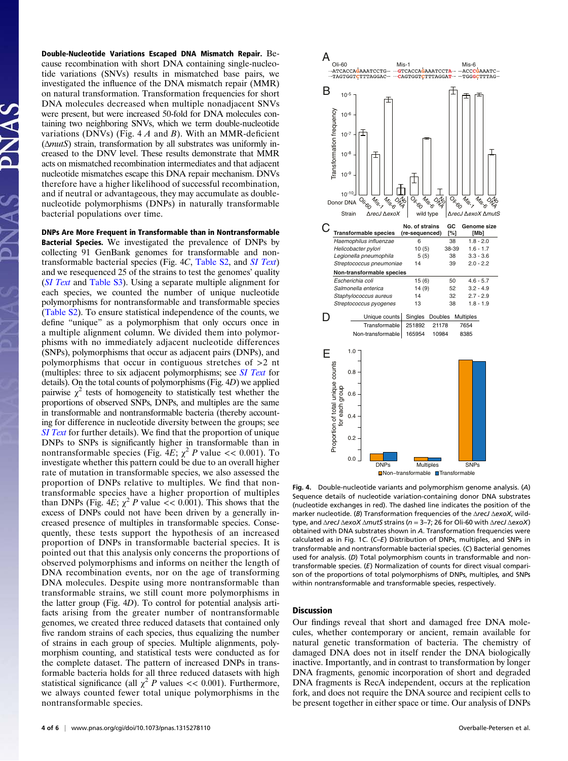Double-Nucleotide Variations Escaped DNA Mismatch Repair. Because recombination with short DNA containing single-nucleotide variations (SNVs) results in mismatched base pairs, we investigated the influence of the DNA mismatch repair (MMR) on natural transformation. Transformation frequencies for short DNA molecules decreased when multiple nonadjacent SNVs were present, but were increased 50-fold for DNA molecules containing two neighboring SNVs, which we term double-nucleotide variations (DNVs) (Fig.  $4 \text{ } A$  and B). With an MMR-deficient (ΔmutS) strain, transformation by all substrates was uniformly increased to the DNV level. These results demonstrate that MMR acts on mismatched recombination intermediates and that adjacent nucleotide mismatches escape this DNA repair mechanism. DNVs therefore have a higher likelihood of successful recombination, and if neutral or advantageous, they may accumulate as doublenucleotide polymorphisms (DNPs) in naturally transformable bacterial populations over time.

DNPs Are More Frequent in Transformable than in Nontransformable Bacterial Species. We investigated the prevalence of DNPs by collecting 91 GenBank genomes for transformable and nontransformable bacterial species (Fig. 4C, [Table S2,](http://www.pnas.org/lookup/suppl/doi:10.1073/pnas.1315278110/-/DCSupplemental/st02.docx) and [SI Text](http://www.pnas.org/lookup/suppl/doi:10.1073/pnas.1315278110/-/DCSupplemental/pnas.201315278SI.pdf?targetid=nameddest=STXT)) and we resequenced 25 of the strains to test the genomes' quality ([SI Text](http://www.pnas.org/lookup/suppl/doi:10.1073/pnas.1315278110/-/DCSupplemental/pnas.201315278SI.pdf?targetid=nameddest=STXT) and [Table S3](http://www.pnas.org/lookup/suppl/doi:10.1073/pnas.1315278110/-/DCSupplemental/st03.docx)). Using a separate multiple alignment for each species, we counted the number of unique nucleotide polymorphisms for nontransformable and transformable species [\(Table S2\)](http://www.pnas.org/lookup/suppl/doi:10.1073/pnas.1315278110/-/DCSupplemental/st02.docx). To ensure statistical independence of the counts, we define "unique" as a polymorphism that only occurs once in a multiple alignment column. We divided them into polymorphisms with no immediately adjacent nucleotide differences (SNPs), polymorphisms that occur as adjacent pairs (DNPs), and polymorphisms that occur in contiguous stretches of >2 nt (multiples: three to six adjacent polymorphisms; see [SI Text](http://www.pnas.org/lookup/suppl/doi:10.1073/pnas.1315278110/-/DCSupplemental/pnas.201315278SI.pdf?targetid=nameddest=STXT) for details). On the total counts of polymorphisms (Fig. 4D) we applied pairwise  $\chi^2$  tests of homogeneity to statistically test whether the proportions of observed SNPs, DNPs, and multiples are the same in transformable and nontransformable bacteria (thereby accounting for difference in nucleotide diversity between the groups; see [SI Text](http://www.pnas.org/lookup/suppl/doi:10.1073/pnas.1315278110/-/DCSupplemental/pnas.201315278SI.pdf?targetid=nameddest=STXT) for further details). We find that the proportion of unique DNPs to SNPs is significantly higher in transformable than in nontransformable species (Fig. 4E;  $\chi^2$  P value << 0.001). To investigate whether this pattern could be due to an overall higher rate of mutation in transformable species, we also assessed the proportion of DNPs relative to multiples. We find that nontransformable species have a higher proportion of multiples than DNPs (Fig. 4E;  $\chi^2$  P value << 0.001). This shows that the excess of DNPs could not have been driven by a generally increased presence of multiples in transformable species. Consequently, these tests support the hypothesis of an increased proportion of DNPs in transformable bacterial species. It is pointed out that this analysis only concerns the proportions of observed polymorphisms and informs on neither the length of DNA recombination events, nor on the age of transforming DNA molecules. Despite using more nontransformable than transformable strains, we still count more polymorphisms in the latter group (Fig. 4D). To control for potential analysis artifacts arising from the greater number of nontransformable genomes, we created three reduced datasets that contained only five random strains of each species, thus equalizing the number of strains in each group of species. Multiple alignments, polymorphism counting, and statistical tests were conducted as for the complete dataset. The pattern of increased DNPs in transformable bacteria holds for all three reduced datasets with high statistical significance (all  $\chi^2$  P values << 0.001). Furthermore, we always counted fewer total unique polymorphisms in the nontransformable species.



Fig. 4. Double-nucleotide variants and polymorphism genome analysis. (A) Sequence details of nucleotide variation-containing donor DNA substrates (nucleotide exchanges in red). The dashed line indicates the position of the marker nucleotide. (B) Transformation frequencies of the  $\Delta$ recJ  $\Delta$ exoX, wildtype, and ΔrecJ ΔexoX ΔmutS strains (n = 3–7; 26 for Oli-60 with ΔrecJ ΔexoX) obtained with DNA substrates shown in A. Transformation frequencies were calculated as in Fig. 1C. (C–E) Distribution of DNPs, multiples, and SNPs in transformable and nontransformable bacterial species. (C) Bacterial genomes used for analysis. (D) Total polymorphism counts in transformable and nontransformable species. (E) Normalization of counts for direct visual comparison of the proportions of total polymorphisms of DNPs, multiples, and SNPs within nontransformable and transformable species, respectively.

#### **Discussion**

Our findings reveal that short and damaged free DNA molecules, whether contemporary or ancient, remain available for natural genetic transformation of bacteria. The chemistry of damaged DNA does not in itself render the DNA biologically inactive. Importantly, and in contrast to transformation by longer DNA fragments, genomic incorporation of short and degraded DNA fragments is RecA independent, occurs at the replication fork, and does not require the DNA source and recipient cells to be present together in either space or time. Our analysis of DNPs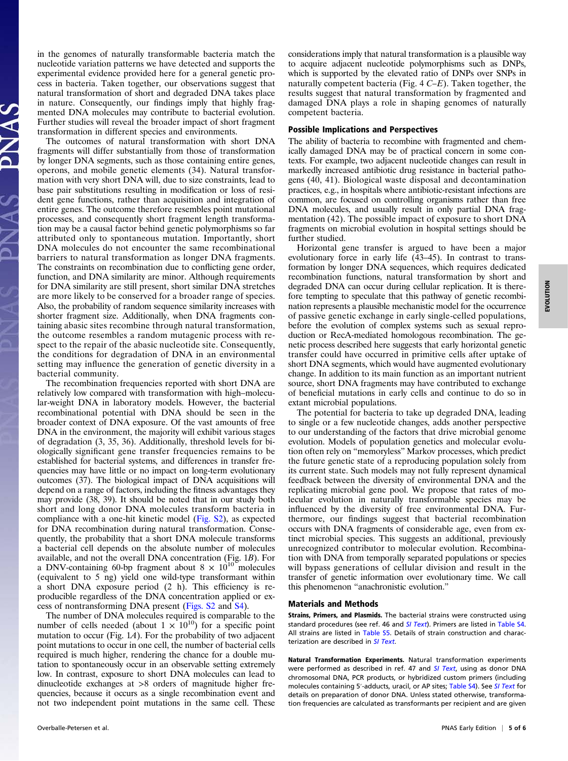in the genomes of naturally transformable bacteria match the nucleotide variation patterns we have detected and supports the experimental evidence provided here for a general genetic process in bacteria. Taken together, our observations suggest that natural transformation of short and degraded DNA takes place in nature. Consequently, our findings imply that highly fragmented DNA molecules may contribute to bacterial evolution. Further studies will reveal the broader impact of short fragment transformation in different species and environments.

The outcomes of natural transformation with short DNA fragments will differ substantially from those of transformation by longer DNA segments, such as those containing entire genes, operons, and mobile genetic elements (34). Natural transformation with very short DNA will, due to size constraints, lead to base pair substitutions resulting in modification or loss of resident gene functions, rather than acquisition and integration of entire genes. The outcome therefore resembles point mutational processes, and consequently short fragment length transformation may be a causal factor behind genetic polymorphisms so far attributed only to spontaneous mutation. Importantly, short DNA molecules do not encounter the same recombinational barriers to natural transformation as longer DNA fragments. The constraints on recombination due to conflicting gene order, function, and DNA similarity are minor. Although requirements for DNA similarity are still present, short similar DNA stretches are more likely to be conserved for a broader range of species. Also, the probability of random sequence similarity increases with shorter fragment size. Additionally, when DNA fragments containing abasic sites recombine through natural transformation, the outcome resembles a random mutagenic process with respect to the repair of the abasic nucleotide site. Consequently, the conditions for degradation of DNA in an environmental setting may influence the generation of genetic diversity in a bacterial community.

The recombination frequencies reported with short DNA are relatively low compared with transformation with high–molecular-weight DNA in laboratory models. However, the bacterial recombinational potential with DNA should be seen in the broader context of DNA exposure. Of the vast amounts of free DNA in the environment, the majority will exhibit various stages of degradation (3, 35, 36). Additionally, threshold levels for biologically significant gene transfer frequencies remains to be established for bacterial systems, and differences in transfer frequencies may have little or no impact on long-term evolutionary outcomes (37). The biological impact of DNA acquisitions will depend on a range of factors, including the fitness advantages they may provide (38, 39). It should be noted that in our study both short and long donor DNA molecules transform bacteria in compliance with a one-hit kinetic model [\(Fig. S2\)](http://www.pnas.org/lookup/suppl/doi:10.1073/pnas.1315278110/-/DCSupplemental/pnas.201315278SI.pdf?targetid=nameddest=SF2), as expected for DNA recombination during natural transformation. Consequently, the probability that a short DNA molecule transforms a bacterial cell depends on the absolute number of molecules available, and not the overall DNA concentration (Fig. 1B). For a DNV-containing 60-bp fragment about  $8 \times 10^{10}$  molecules (equivalent to 5 ng) yield one wild-type transformant within a short DNA exposure period (2 h). This efficiency is reproducible regardless of the DNA concentration applied or excess of nontransforming DNA present ([Figs. S2](http://www.pnas.org/lookup/suppl/doi:10.1073/pnas.1315278110/-/DCSupplemental/pnas.201315278SI.pdf?targetid=nameddest=SF2) and [S4](http://www.pnas.org/lookup/suppl/doi:10.1073/pnas.1315278110/-/DCSupplemental/pnas.201315278SI.pdf?targetid=nameddest=SF4)).

The number of DNA molecules required is comparable to the number of cells needed (about  $1 \times 10^{10}$ ) for a specific point mutation to occur (Fig. 1A). For the probability of two adjacent point mutations to occur in one cell, the number of bacterial cells required is much higher, rendering the chance for a double mutation to spontaneously occur in an observable setting extremely low. In contrast, exposure to short DNA molecules can lead to dinucleotide exchanges at >8 orders of magnitude higher frequencies, because it occurs as a single recombination event and not two independent point mutations in the same cell. These considerations imply that natural transformation is a plausible way to acquire adjacent nucleotide polymorphisms such as DNPs, which is supported by the elevated ratio of DNPs over SNPs in naturally competent bacteria (Fig.  $4 C-E$ ). Taken together, the results suggest that natural transformation by fragmented and damaged DNA plays a role in shaping genomes of naturally competent bacteria.

## Possible Implications and Perspectives

The ability of bacteria to recombine with fragmented and chemically damaged DNA may be of practical concern in some contexts. For example, two adjacent nucleotide changes can result in markedly increased antibiotic drug resistance in bacterial pathogens (40, 41). Biological waste disposal and decontamination practices, e.g., in hospitals where antibiotic-resistant infections are common, are focused on controlling organisms rather than free DNA molecules, and usually result in only partial DNA fragmentation (42). The possible impact of exposure to short DNA fragments on microbial evolution in hospital settings should be further studied.

Horizontal gene transfer is argued to have been a major evolutionary force in early life (43–45). In contrast to transformation by longer DNA sequences, which requires dedicated recombination functions, natural transformation by short and degraded DNA can occur during cellular replication. It is therefore tempting to speculate that this pathway of genetic recombination represents a plausible mechanistic model for the occurrence of passive genetic exchange in early single-celled populations, before the evolution of complex systems such as sexual reproduction or RecA-mediated homologous recombination. The genetic process described here suggests that early horizontal genetic transfer could have occurred in primitive cells after uptake of short DNA segments, which would have augmented evolutionary change. In addition to its main function as an important nutrient source, short DNA fragments may have contributed to exchange of beneficial mutations in early cells and continue to do so in extant microbial populations.

The potential for bacteria to take up degraded DNA, leading to single or a few nucleotide changes, adds another perspective to our understanding of the factors that drive microbial genome evolution. Models of population genetics and molecular evolution often rely on "memoryless" Markov processes, which predict the future genetic state of a reproducing population solely from its current state. Such models may not fully represent dynamical feedback between the diversity of environmental DNA and the replicating microbial gene pool. We propose that rates of molecular evolution in naturally transformable species may be influenced by the diversity of free environmental DNA. Furthermore, our findings suggest that bacterial recombination occurs with DNA fragments of considerable age, even from extinct microbial species. This suggests an additional, previously unrecognized contributor to molecular evolution. Recombination with DNA from temporally separated populations or species will bypass generations of cellular division and result in the transfer of genetic information over evolutionary time. We call this phenomenon "anachronistic evolution."

## Materials and Methods

Strains, Primers, and Plasmids. The bacterial strains were constructed using standard procedures (see ref. 46 and [SI Text](http://www.pnas.org/lookup/suppl/doi:10.1073/pnas.1315278110/-/DCSupplemental/pnas.201315278SI.pdf?targetid=nameddest=STXT)). Primers are listed in [Table S4](http://www.pnas.org/lookup/suppl/doi:10.1073/pnas.1315278110/-/DCSupplemental/st04.docx). All strains are listed in [Table S5.](http://www.pnas.org/lookup/suppl/doi:10.1073/pnas.1315278110/-/DCSupplemental/st05.docx) Details of strain construction and charac-terization are described in [SI Text](http://www.pnas.org/lookup/suppl/doi:10.1073/pnas.1315278110/-/DCSupplemental/pnas.201315278SI.pdf?targetid=nameddest=STXT).

Natural Transformation Experiments. Natural transformation experiments were performed as described in ref. 47 and [SI Text](http://www.pnas.org/lookup/suppl/doi:10.1073/pnas.1315278110/-/DCSupplemental/pnas.201315278SI.pdf?targetid=nameddest=STXT), using as donor DNA chromosomal DNA, PCR products, or hybridized custom primers (including molecules containing 5'-adducts, uracil, or AP sites; [Table S4\)](http://www.pnas.org/lookup/suppl/doi:10.1073/pnas.1315278110/-/DCSupplemental/st04.docx). See [SI Text](http://www.pnas.org/lookup/suppl/doi:10.1073/pnas.1315278110/-/DCSupplemental/pnas.201315278SI.pdf?targetid=nameddest=STXT) for details on preparation of donor DNA. Unless stated otherwise, transformation frequencies are calculated as transformants per recipient and are given